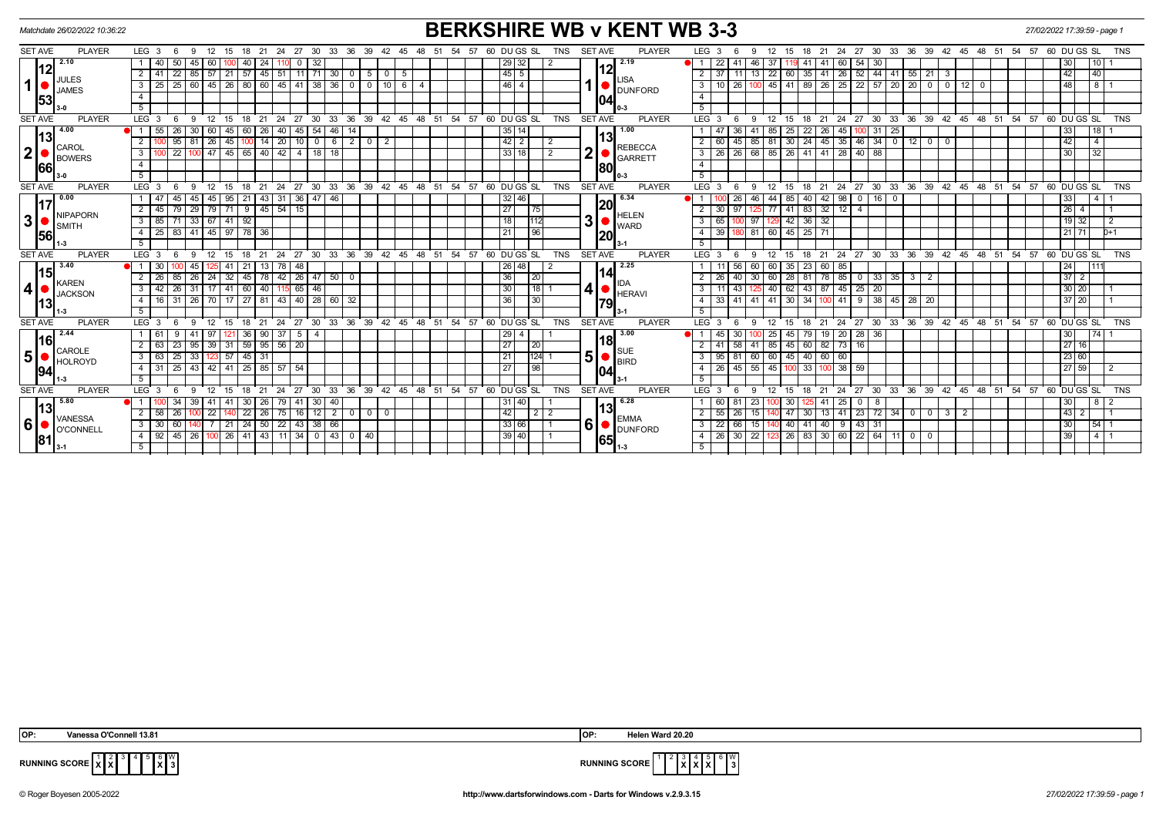| Matchdate 26/02/2022 10:36:22         |                                                                                                        |                                                                                  | <b>BERKSHIRE WB v KENT WB 3-3</b>                         |                                                                                                                 | 27/02/2022 17:39:59 - page 1              |
|---------------------------------------|--------------------------------------------------------------------------------------------------------|----------------------------------------------------------------------------------|-----------------------------------------------------------|-----------------------------------------------------------------------------------------------------------------|-------------------------------------------|
| <b>PLAYER</b><br><b>SET AVE</b>       | $LEG_36$<br>9 12 15 18 21 24 27 30 33 36 39 42 45                                                      | 54<br>57<br>60 DU GS SL<br>48<br>51                                              | <b>TNS</b><br><b>SET AVE</b><br><b>PLAYER</b>             | LEG <sub>3</sub><br>12 15 18 21 24 27 30 33 36 39 42 45 48 51 54 57 60 DUGS SL TNS<br>-9                        |                                           |
| 2.10                                  | 50<br>45 60<br>32<br>1   40<br>40   24<br>$\mathbf{0}$<br>100 I<br>110                                 | 29 32                                                                            | 2.19                                                      | 37<br>22<br>46<br>54 30<br>41<br> 60 <br>41 I<br>119 41                                                         | 30 <br>10 <sub>1</sub>                    |
|                                       | 2   41   22   85   57   21   57   45   51   11   71   30   0   5   0                                   | 45 5<br>- 5                                                                      | 12                                                        | 11 13 22 60 35 41 26 52 44 41 55 21<br>$2 \mid 37$<br>3                                                         | 42<br>$ 40\rangle$                        |
| JULES<br>$\mathbf{1}$<br><b>JAMES</b> | 25   60   45   26   80   60   45   41   38   36   0   0   10   6   4<br>$3 \mid 25 \mid$               | 46 4                                                                             | LISA<br><b>DUNFORD</b>                                    | 26   100   45   41   89   26   25   22   57   20   20   0   0   12   0<br>3 I<br>10                             | ತ<br><b>48</b>                            |
| 53                                    | $\overline{4}$                                                                                         |                                                                                  | 04                                                        | $\overline{4}$                                                                                                  |                                           |
|                                       | 5 <sup>1</sup>                                                                                         |                                                                                  |                                                           | 5                                                                                                               |                                           |
| <b>PLAYER</b><br><b>SET AVE</b>       | LEG <sup>3</sup><br>$^{\circ}$ 12<br>24 27<br>30<br>33<br>- 6<br>9<br>15<br>- 18<br>21                 | 39 42 45 48 51 54<br>$57.60$ DU GS SL<br>36                                      | TNS<br>SET AVE<br><b>PLAYER</b>                           | LEG <sub>3</sub><br>12<br>21<br>24 27<br>30<br>- 6<br>-9<br>15<br>18                                            | 33 36 39 42 45 48 51 54 57 60 DUGS SL TNS |
| 4.00                                  | 55<br>26<br>30<br>40<br>54<br>46<br>60<br>45<br>60<br>26<br>45                                         | 35 14                                                                            | 1.00                                                      | 22<br>26<br>-31<br>-25<br>85<br>25<br>45                                                                        | 33<br>18                                  |
|                                       | $\overline{2}$<br>95<br>45<br>20<br>$0$   6<br>81<br>$\sqrt{26}$<br>14<br>10                           | $\sqrt{42}$ 2<br>210<br>$\overline{2}$                                           | 13<br>2                                                   | $45 \mid 35$<br>$46$ 34 0 12 0<br>$45 \mid 85$<br>81<br>$30 \mid 24$<br>2 <sup>1</sup><br>60<br>$\Omega$        | 42<br>$\overline{4}$                      |
| CAROL<br>$\mathbf 2$<br><b>BOWERS</b> | $\overline{22}$<br>$145$ 65 $140$<br>$\overline{42}$<br>$100$ 47<br>3 I<br>$\overline{4}$<br>  18   18 | 33 18                                                                            | <b>REBECCA</b><br>$\overline{\mathbf{2}}$<br>2<br>GARRETT | 26 68 85 26 41<br>41 28 40 88<br>$3 \mid 26$                                                                    | 32<br>30                                  |
| 66                                    | $\overline{4}$                                                                                         |                                                                                  | 80                                                        | $\overline{4}$                                                                                                  |                                           |
|                                       | 5                                                                                                      |                                                                                  | $0 - 3$                                                   | $\overline{5}$                                                                                                  |                                           |
| <b>SET AVE</b><br><b>PLAYER</b>       | LEG <sub>3</sub><br>24<br>$\degree$ 27<br>-9<br>12<br>15<br>21<br>-6<br>18                             | 30 33 36 39 42 45 48 51 54 57 60 DUGS SL                                         | SET AVE<br><b>TNS</b><br><b>PLAYER</b>                    | $LEG$ 3<br>24 27 30 33 36 39 42 45 48 51 54 57 60 DUGS SL<br>12<br>15<br>21<br>-6<br>$\mathbf{q}$<br>18         | <b>TNS</b>                                |
| 0.00                                  | 95<br>31 36 47 46<br>45<br>21<br>$\sqrt{43}$<br>$1 \mid 47$<br>  45                                    | 32 46                                                                            | 6.34                                                      | 42 98<br>$0$ 16 0<br>26 <sup>1</sup><br>46<br>44<br>85<br>40                                                    | 33l<br>-4                                 |
|                                       | 71 9 45 54 15<br>$29$   79<br>$2 \mid 45 \mid$<br>79                                                   | $\overline{27}$                                                                  | 20<br>75                                                  | $32 \mid 12 \mid$<br>$\overline{77}$<br>$41 \overline{\smash{)}83}$<br>2<br>30<br>97 I<br>$\overline{4}$<br>125 | $\overline{26}$   4                       |
| <b>NIPAPORN</b><br>3<br><b>SMITH</b>  | 33 67 41 92<br>$3 \mid 85$<br>71                                                                       | 18                                                                               | HELEN<br>3<br>1112<br><b>WARD</b>                         | $42 \ 36 \ 32$<br>100 97<br>3<br>65<br>129                                                                      | $19$ 32<br>$\mathcal{P}$                  |
| 156                                   | 41 45 97 78 36<br>83<br>$4 \mid 25 \mid$                                                               | 21                                                                               | 96<br> 20                                                 | 60 45 25 71<br>$4 \overline{39}$<br>180 81                                                                      | $21$ 71<br>$b+1$                          |
|                                       | 5                                                                                                      |                                                                                  |                                                           | 5                                                                                                               |                                           |
| <b>PLAYER</b><br><b>SET AVE</b>       | LEG <sub>3</sub><br>$^{\circ}$ 12<br>21<br>9<br>15 18<br>- 6                                           | 24 27 30 33 36 39 42 45 48 51 54 57 60 DUGS SL                                   | TNS<br><b>SET AVE</b><br><b>PLAYER</b>                    | 21 24 27 30 33 36 39 42 45 48 51 54 57 60 DUGS SL<br>LEG <sub>3</sub><br>12<br>15 18<br>6<br>9                  | TNS                                       |
| 3.40<br>l15                           | 30<br>21<br>78<br>48<br>- 1 - I<br>45<br>41<br>13                                                      | 26 48                                                                            | 2.25                                                      | $35 \mid 23$<br>56 60<br>60<br>60<br> 85                                                                        | 24<br>111                                 |
| KAREN                                 | 32<br>42   26   47   50  <br>$2 \mid 26$<br>85<br>$26 \mid 24$<br>45 78                                | 36<br>$\overline{0}$                                                             | 14<br>20<br>IDA.                                          | 78<br>$2^{\circ}$<br>26<br>40 <sup>1</sup><br>30<br>60<br>28 81<br> 85 <br>$0$ 33 35 3 2                        | $37$   2                                  |
| $\boldsymbol{4}$<br><b>JACKSON</b>    | $31 \mid 17 \mid 41 \mid 60 \mid 40$<br>$3 \mid 42 \mid$<br>26<br>$115$ 65 46                          | 30                                                                               | $\boldsymbol{4}$<br>$18$   1<br><b>HERAVI</b>             | 43 125 40 62 43 87 45 25 20<br>3 I<br>11                                                                        | 30 20                                     |
|                                       | 26 70 17 27 81 43 40 28 60 32<br>31<br>4   16                                                          | 36                                                                               | 30 <br> 79                                                | 41 41 41 30 34 100 41 9 38 45 28 20<br>$4 \overline{)}33$                                                       | 37 20                                     |
| $-3$                                  | 5 <sup>1</sup>                                                                                         |                                                                                  |                                                           | 5 <sup>5</sup>                                                                                                  |                                           |
| <b>PLAYER</b><br><b>SET AVE</b>       | LEG <sub>3</sub><br>- 12<br>15<br>18<br>6<br>9                                                         | 21 24 27 30 33 36 39 42 45 48 51 54 57 60 DUGS SL                                | <b>TNS</b><br><b>SET AVE</b><br><b>PLAYER</b>             | 21 24 27 30 33 36 39 42 45 48 51 54 57 60 DUGS SL<br>LEG <sub>3</sub><br>12<br>15<br>18<br>-6<br>-9             | <b>TNS</b>                                |
| 2.44<br>l16l                          | 37<br>36<br>41<br>90 <sub>1</sub><br>- 5<br>1   61<br>$\overline{4}$<br>121                            | $\boxed{29}$ 4                                                                   | 3.00<br> 18                                               | $\sqrt{20}$<br>$28 \mid 36$<br>30 <sup>2</sup><br>25<br>45<br>79<br>19<br>45                                    | 30 <sub>1</sub><br>74                     |
| CAROLE                                | $31 \mid 59 \mid 95 \mid 56 \mid 20$<br>$2 \mid 63$<br>23<br>95 39                                     | 27                                                                               | 20                                                        | 45 60 82 73<br>41<br>58 41<br>85<br>16                                                                          | 27 16                                     |
| 5 <sup>1</sup><br><b>HOLROYD</b>      | 33   123   57   45   31<br>$3 \mid 63 \mid$<br>25                                                      | 21                                                                               | $\bigcirc$ SUE<br>BIRD<br>5 <sup>1</sup><br>$124 - 1$     | 60 45 40 60 60<br>95<br>81 60<br>3                                                                              | 23 60                                     |
| 194                                   | 25<br>  41   25   85   57   54<br>$-43$ 42<br>4 31                                                     | 27                                                                               | 98<br>104                                                 | 45 55 45<br>26<br>$100$ 33<br>$38 \mid 59$<br>$\overline{4}$<br>100                                             | 27 59                                     |
|                                       | 5                                                                                                      |                                                                                  |                                                           | 5                                                                                                               |                                           |
| <b>PLAYER</b><br><b>SET AVE</b>       | LEG <sub>3</sub><br>30<br>33<br>21<br>24<br>27                                                         | $\sqrt{39}$<br>42<br>$45 \quad 48 \quad 51$<br>54<br>57<br>60 DU GS SL<br>ີ 36 ີ | <b>TNS</b><br><b>PLAYER</b><br><b>SET AVE</b>             | 36 39 42 45<br>LEG <sub>3</sub><br>27<br>$30^{\circ}$<br>33 <sup>°</sup><br>18<br>21<br>24                      | 48 51 54 57 60 DUGS SL<br><b>TNS</b>      |
| 5.80<br>13                            | 34<br>40<br>39<br>l 41<br>41<br>30<br>-26<br>79<br>30 I                                                | 31 40                                                                            | 6.28<br>13                                                | 60<br>-81<br>23<br>30<br>25<br>$^{\circ}$                                                                       | 8<br>30                                   |
| VANESSA                               | 26<br>22<br>75<br>12 <sub>1</sub><br>$\overline{2}$<br>2   58<br>22<br>26<br>16                        | 42<br>0 1 0<br>$^{\circ}$                                                        | $2 \mid 2$<br><b>EMMA</b>                                 | 23<br>2<br>55<br>72 I<br>34<br>$0$ 0<br>26<br>47<br>30<br>13<br>-41<br>3 I<br>2                                 | $\sqrt{43}$ 2                             |
| 6<br><b>O'CONNELL</b>                 | 22<br>60<br>$21 \mid 24 \mid$<br>$\sqrt{50}$<br>38 66<br>$3 \mid 30 \mid$<br>43                        | 33 66                                                                            | 6 <sup>1</sup><br>DUNFORD                                 | $\overline{22}$<br>40<br>$43 \mid 31$<br>$\overline{\phantom{a}3}$<br>66 15<br>40 41<br>9                       | 54 1<br>30                                |
| 181                                   | $26$   41   43  <br>$11$   34   0   43   0   40<br>45<br>26 100<br>$4 \mid 92 \mid$                    | 39 40                                                                            | 65                                                        | $30 \quad 22$<br>26 83 30 60<br>$22$ 64 11 0 0<br>$4 \overline{26}$<br>-123                                     | 39<br>$4$   1                             |
|                                       | 51                                                                                                     |                                                                                  |                                                           | 5                                                                                                               |                                           |

 4 5 6 **X** W



**RUNNING SCORE**  $\begin{bmatrix} 1 \\ \mathbf{X} \end{bmatrix} \begin{bmatrix} 2 \\ \mathbf{X} \end{bmatrix}$